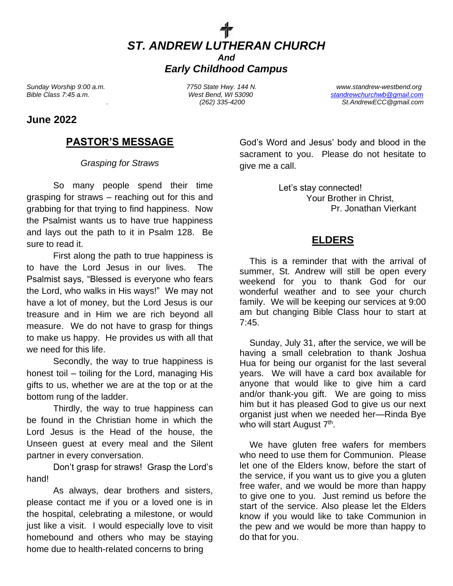

*Sunday Worship 9:00 a.m. 7750 State Hwy. 144 N. www.standrew-westbend.org Bible Class 7:45 a.m. West Bend, WI 53090 [standrewchurchwb@gmail.com](mailto:standrewchurchwb@gmail.com) . (262) 335-4200 St.AndrewECC@gmail.com*

#### **June 2022**

### **PASTOR'S MESSAGE**

#### *Grasping for Straws*

So many people spend their time grasping for straws – reaching out for this and grabbing for that trying to find happiness. Now the Psalmist wants us to have true happiness and lays out the path to it in Psalm 128. Be sure to read it.

First along the path to true happiness is to have the Lord Jesus in our lives. The Psalmist says, "Blessed is everyone who fears the Lord, who walks in His ways!" We may not have a lot of money, but the Lord Jesus is our treasure and in Him we are rich beyond all measure. We do not have to grasp for things to make us happy. He provides us with all that we need for this life.

Secondly, the way to true happiness is honest toil – toiling for the Lord, managing His gifts to us, whether we are at the top or at the bottom rung of the ladder.

Thirdly, the way to true happiness can be found in the Christian home in which the Lord Jesus is the Head of the house, the Unseen guest at every meal and the Silent partner in every conversation.

Don't grasp for straws! Grasp the Lord's hand!

As always, dear brothers and sisters, please contact me if you or a loved one is in the hospital, celebrating a milestone, or would just like a visit. I would especially love to visit homebound and others who may be staying home due to health-related concerns to bring

God's Word and Jesus' body and blood in the sacrament to you. Please do not hesitate to give me a call.

> Let's stay connected! Your Brother in Christ, Pr. Jonathan Vierkant

#### **ELDERS**

 This is a reminder that with the arrival of summer, St. Andrew will still be open every weekend for you to thank God for our wonderful weather and to see your church family. We will be keeping our services at 9:00 am but changing Bible Class hour to start at  $7:45.$ 

 Sunday, July 31, after the service, we will be having a small celebration to thank Joshua Hua for being our organist for the last several years. We will have a card box available for anyone that would like to give him a card and/or thank-you gift. We are going to miss him but it has pleased God to give us our next organist just when we needed her—Rinda Bye who will start August 7<sup>th</sup>.

 We have gluten free wafers for members who need to use them for Communion. Please let one of the Elders know, before the start of the service, if you want us to give you a gluten free wafer, and we would be more than happy to give one to you. Just remind us before the start of the service. Also please let the Elders know if you would like to take Communion in the pew and we would be more than happy to do that for you.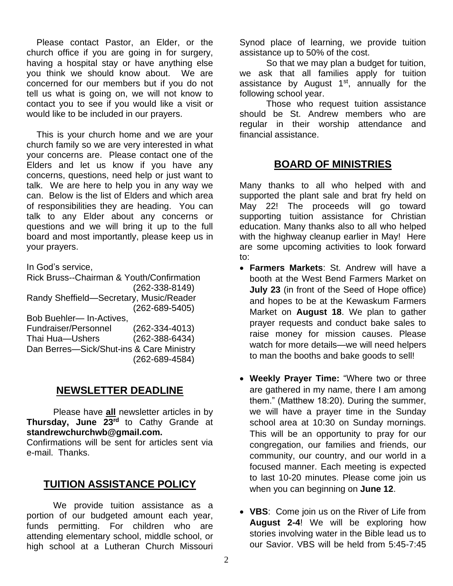Please contact Pastor, an Elder, or the church office if you are going in for surgery, having a hospital stay or have anything else you think we should know about. We are concerned for our members but if you do not tell us what is going on, we will not know to contact you to see if you would like a visit or would like to be included in our prayers.

 This is your church home and we are your church family so we are very interested in what your concerns are. Please contact one of the Elders and let us know if you have any concerns, questions, need help or just want to talk. We are here to help you in any way we can. Below is the list of Elders and which area of responsibilities they are heading. You can talk to any Elder about any concerns or questions and we will bring it up to the full board and most importantly, please keep us in your prayers.

In God's service,

Rick Bruss--Chairman & Youth/Confirmation (262-338-8149) Randy Sheffield—Secretary, Music/Reader (262-689-5405) Bob Buehler— In-Actives,

| Fundraiser/Personnel                     | $(262 - 334 - 4013)$ |
|------------------------------------------|----------------------|
| Thai Hua-Ushers                          | $(262 - 388 - 6434)$ |
| Dan Berres-Sick/Shut-ins & Care Ministry |                      |
|                                          | $(262 - 689 - 4584)$ |

## **NEWSLETTER DEADLINE**

Please have **all** newsletter articles in by **Thursday, June 23 rd** to Cathy Grande at **standrewchurchwb@gmail.com.**

Confirmations will be sent for articles sent via e-mail. Thanks.

#### **TUITION ASSISTANCE POLICY**

We provide tuition assistance as a portion of our budgeted amount each year, funds permitting. For children who are attending elementary school, middle school, or high school at a Lutheran Church Missouri

Synod place of learning, we provide tuition assistance up to 50% of the cost.

So that we may plan a budget for tuition, we ask that all families apply for tuition assistance by August  $1<sup>st</sup>$ , annually for the following school year.

Those who request tuition assistance should be St. Andrew members who are regular in their worship attendance and financial assistance.

#### **BOARD OF MINISTRIES**

Many thanks to all who helped with and supported the plant sale and brat fry held on May 22! The proceeds will go toward supporting tuition assistance for Christian education. Many thanks also to all who helped with the highway cleanup earlier in May! Here are some upcoming activities to look forward to:

- **Farmers Markets**: St. Andrew will have a booth at the West Bend Farmers Market on **July 23** (in front of the Seed of Hope office) and hopes to be at the Kewaskum Farmers Market on **August 18**. We plan to gather prayer requests and conduct bake sales to raise money for mission causes. Please watch for more details—we will need helpers to man the booths and bake goods to sell!
- **Weekly Prayer Time:** "Where two or three are gathered in my name, there I am among them." (Matthew 18:20). During the summer, we will have a prayer time in the Sunday school area at 10:30 on Sunday mornings. This will be an opportunity to pray for our congregation, our families and friends, our community, our country, and our world in a focused manner. Each meeting is expected to last 10-20 minutes. Please come join us when you can beginning on **June 12**.
- **VBS**: Come join us on the River of Life from **August 2-4**! We will be exploring how stories involving water in the Bible lead us to our Savior. VBS will be held from 5:45-7:45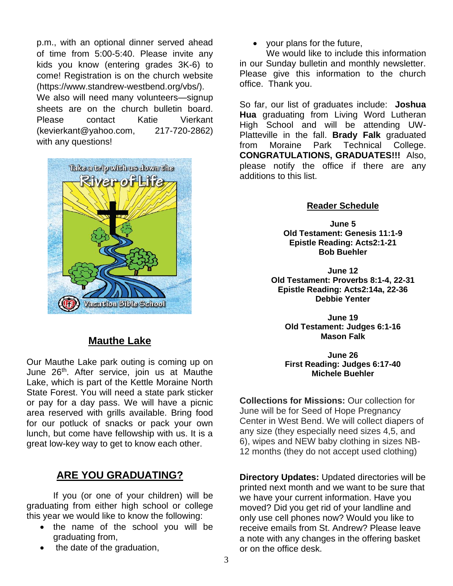p.m., with an optional dinner served ahead of time from 5:00-5:40. Please invite any kids you know (entering grades 3K-6) to come! Registration is on the church website (https://www.standrew-westbend.org/vbs/).

We also will need many volunteers—signup sheets are on the church bulletin board. Please contact Katie Vierkant (kevierkant@yahoo.com, 217-720-2862) with any questions!



## **Mauthe Lake**

Our Mauthe Lake park outing is coming up on June 26<sup>th</sup>. After service, join us at Mauthe Lake, which is part of the Kettle Moraine North State Forest. You will need a state park sticker or pay for a day pass. We will have a picnic area reserved with grills available. Bring food for our potluck of snacks or pack your own lunch, but come have fellowship with us. It is a great low-key way to get to know each other.

## **ARE YOU GRADUATING?**

If you (or one of your children) will be graduating from either high school or college this year we would like to know the following:

- the name of the school you will be graduating from,
- the date of the graduation,

• your plans for the future,

We would like to include this information in our Sunday bulletin and monthly newsletter. Please give this information to the church office. Thank you.

So far, our list of graduates include: **Joshua Hua** graduating from Living Word Lutheran High School and will be attending UW-Platteville in the fall. **Brady Falk** graduated from Moraine Park Technical College. **CONGRATULATIONS, GRADUATES!!!** Also, please notify the office if there are any additions to this list.

#### **Reader Schedule**

**June 5 Old Testament: Genesis 11:1-9 Epistle Reading: Acts2:1-21 Bob Buehler**

**June 12 Old Testament: Proverbs 8:1-4, 22-31 Epistle Reading: Acts2:14a, 22-36 Debbie Yenter**

**June 19 Old Testament: Judges 6:1-16 Mason Falk**

**June 26 First Reading: Judges 6:17-40 Michele Buehler**

**Collections for Missions:** Our collection for June will be for Seed of Hope Pregnancy Center in West Bend. We will collect diapers of any size (they especially need sizes 4,5, and 6), wipes and NEW baby clothing in sizes NB-12 months (they do not accept used clothing)

**Directory Updates:** Updated directories will be printed next month and we want to be sure that we have your current information. Have you moved? Did you get rid of your landline and only use cell phones now? Would you like to receive emails from St. Andrew? Please leave a note with any changes in the offering basket or on the office desk.